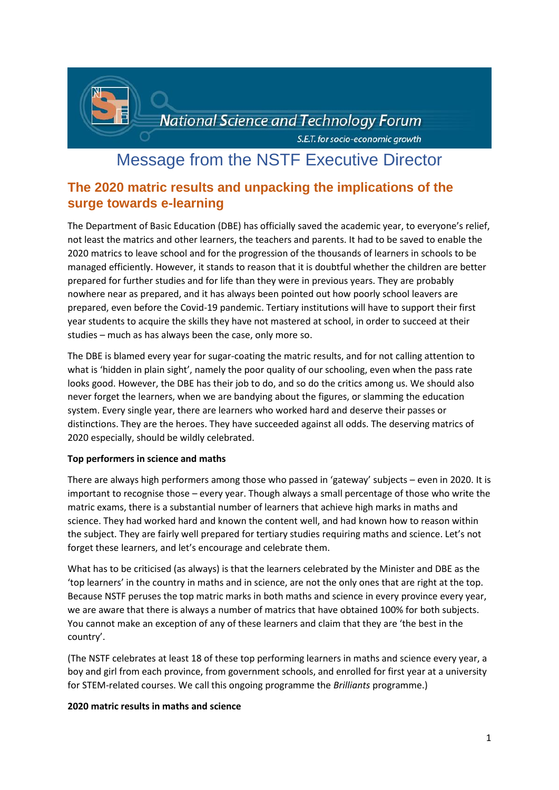

# Message from the NSTF Executive Director

# **The 2020 matric results and unpacking the implications of the surge towards e-learning**

The Department of Basic Education (DBE) has officially saved the academic year, to everyone's relief, not least the matrics and other learners, the teachers and parents. It had to be saved to enable the 2020 matrics to leave school and for the progression of the thousands of learners in schools to be managed efficiently. However, it stands to reason that it is doubtful whether the children are better prepared for further studies and for life than they were in previous years. They are probably nowhere near as prepared, and it has always been pointed out how poorly school leavers are prepared, even before the Covid-19 pandemic. Tertiary institutions will have to support their first year students to acquire the skills they have not mastered at school, in order to succeed at their studies – much as has always been the case, only more so.

The DBE is blamed every year for sugar-coating the matric results, and for not calling attention to what is 'hidden in plain sight', namely the poor quality of our schooling, even when the pass rate looks good. However, the DBE has their job to do, and so do the critics among us. We should also never forget the learners, when we are bandying about the figures, or slamming the education system. Every single year, there are learners who worked hard and deserve their passes or distinctions. They are the heroes. They have succeeded against all odds. The deserving matrics of 2020 especially, should be wildly celebrated.

# **Top performers in science and maths**

There are always high performers among those who passed in 'gateway' subjects – even in 2020. It is important to recognise those – every year. Though always a small percentage of those who write the matric exams, there is a substantial number of learners that achieve high marks in maths and science. They had worked hard and known the content well, and had known how to reason within the subject. They are fairly well prepared for tertiary studies requiring maths and science. Let's not forget these learners, and let's encourage and celebrate them.

What has to be criticised (as always) is that the learners celebrated by the Minister and DBE as the 'top learners' in the country in maths and in science, are not the only ones that are right at the top. Because NSTF peruses the top matric marks in both maths and science in every province every year, we are aware that there is always a number of matrics that have obtained 100% for both subjects. You cannot make an exception of any of these learners and claim that they are 'the best in the country'.

(The NSTF celebrates at least 18 of these top performing learners in maths and science every year, a boy and girl from each province, from government schools, and enrolled for first year at a university for STEM-related courses. We call this ongoing programme the *Brilliants* programme.)

#### **2020 matric results in maths and science**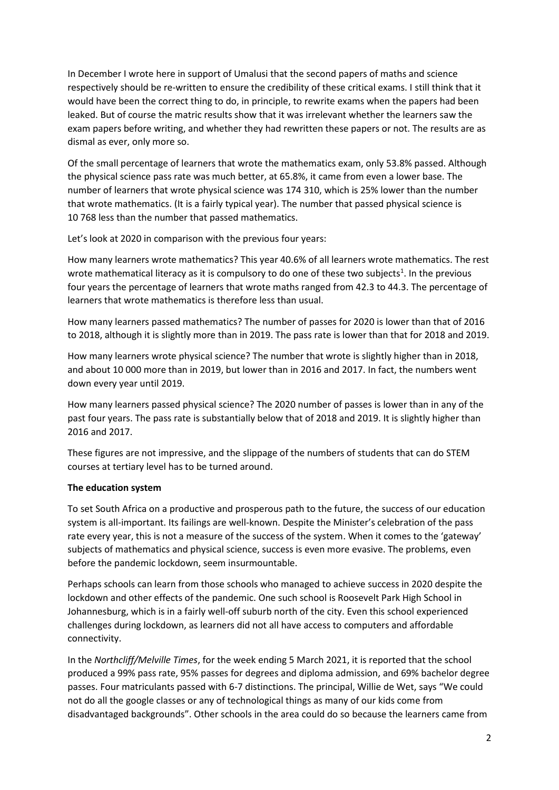In December I wrote here in support of Umalusi that the second papers of maths and science respectively should be re-written to ensure the credibility of these critical exams. I still think that it would have been the correct thing to do, in principle, to rewrite exams when the papers had been leaked. But of course the matric results show that it was irrelevant whether the learners saw the exam papers before writing, and whether they had rewritten these papers or not. The results are as dismal as ever, only more so.

Of the small percentage of learners that wrote the mathematics exam, only 53.8% passed. Although the physical science pass rate was much better, at 65.8%, it came from even a lower base. The number of learners that wrote physical science was 174 310, which is 25% lower than the number that wrote mathematics. (It is a fairly typical year). The number that passed physical science is 10 768 less than the number that passed mathematics.

Let's look at 2020 in comparison with the previous four years:

How many learners wrote mathematics? This year 40.6% of all learners wrote mathematics. The rest wrote mathematical literacy as it is compulsory to do one of these two subjects<sup>1</sup>. In the previous four years the percentage of learners that wrote maths ranged from 42.3 to 44.3. The percentage of learners that wrote mathematics is therefore less than usual.

How many learners passed mathematics? The number of passes for 2020 is lower than that of 2016 to 2018, although it is slightly more than in 2019. The pass rate is lower than that for 2018 and 2019.

How many learners wrote physical science? The number that wrote is slightly higher than in 2018, and about 10 000 more than in 2019, but lower than in 2016 and 2017. In fact, the numbers went down every year until 2019.

How many learners passed physical science? The 2020 number of passes is lower than in any of the past four years. The pass rate is substantially below that of 2018 and 2019. It is slightly higher than 2016 and 2017.

These figures are not impressive, and the slippage of the numbers of students that can do STEM courses at tertiary level has to be turned around.

# **The education system**

To set South Africa on a productive and prosperous path to the future, the success of our education system is all-important. Its failings are well-known. Despite the Minister's celebration of the pass rate every year, this is not a measure of the success of the system. When it comes to the 'gateway' subjects of mathematics and physical science, success is even more evasive. The problems, even before the pandemic lockdown, seem insurmountable.

Perhaps schools can learn from those schools who managed to achieve success in 2020 despite the lockdown and other effects of the pandemic. One such school is Roosevelt Park High School in Johannesburg, which is in a fairly well-off suburb north of the city. Even this school experienced challenges during lockdown, as learners did not all have access to computers and affordable connectivity.

In the *Northcliff/Melville Times*, for the week ending 5 March 2021, it is reported that the school produced a 99% pass rate, 95% passes for degrees and diploma admission, and 69% bachelor degree passes. Four matriculants passed with 6-7 distinctions. The principal, Willie de Wet, says "We could not do all the google classes or any of technological things as many of our kids come from disadvantaged backgrounds". Other schools in the area could do so because the learners came from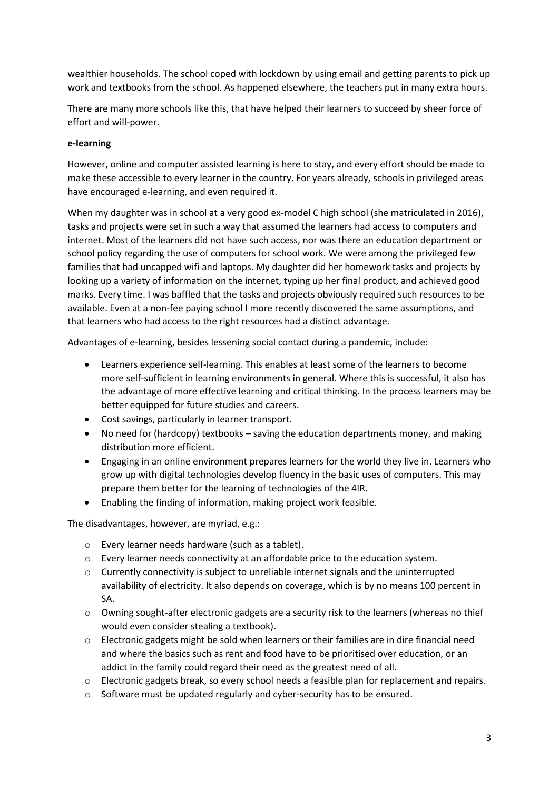wealthier households. The school coped with lockdown by using email and getting parents to pick up work and textbooks from the school. As happened elsewhere, the teachers put in many extra hours.

There are many more schools like this, that have helped their learners to succeed by sheer force of effort and will-power.

## **e-learning**

However, online and computer assisted learning is here to stay, and every effort should be made to make these accessible to every learner in the country. For years already, schools in privileged areas have encouraged e-learning, and even required it.

When my daughter was in school at a very good ex-model C high school (she matriculated in 2016), tasks and projects were set in such a way that assumed the learners had access to computers and internet. Most of the learners did not have such access, nor was there an education department or school policy regarding the use of computers for school work. We were among the privileged few families that had uncapped wifi and laptops. My daughter did her homework tasks and projects by looking up a variety of information on the internet, typing up her final product, and achieved good marks. Every time. I was baffled that the tasks and projects obviously required such resources to be available. Even at a non-fee paying school I more recently discovered the same assumptions, and that learners who had access to the right resources had a distinct advantage.

Advantages of e-learning, besides lessening social contact during a pandemic, include:

- Learners experience self-learning. This enables at least some of the learners to become more self-sufficient in learning environments in general. Where this is successful, it also has the advantage of more effective learning and critical thinking. In the process learners may be better equipped for future studies and careers.
- Cost savings, particularly in learner transport.
- No need for (hardcopy) textbooks saving the education departments money, and making distribution more efficient.
- Engaging in an online environment prepares learners for the world they live in. Learners who grow up with digital technologies develop fluency in the basic uses of computers. This may prepare them better for the learning of technologies of the 4IR.
- Enabling the finding of information, making project work feasible.

The disadvantages, however, are myriad, e.g.:

- o Every learner needs hardware (such as a tablet).
- o Every learner needs connectivity at an affordable price to the education system.
- $\circ$  Currently connectivity is subject to unreliable internet signals and the uninterrupted availability of electricity. It also depends on coverage, which is by no means 100 percent in SA.
- $\circ$  Owning sought-after electronic gadgets are a security risk to the learners (whereas no thief would even consider stealing a textbook).
- o Electronic gadgets might be sold when learners or their families are in dire financial need and where the basics such as rent and food have to be prioritised over education, or an addict in the family could regard their need as the greatest need of all.
- o Electronic gadgets break, so every school needs a feasible plan for replacement and repairs.
- $\circ$  Software must be updated regularly and cyber-security has to be ensured.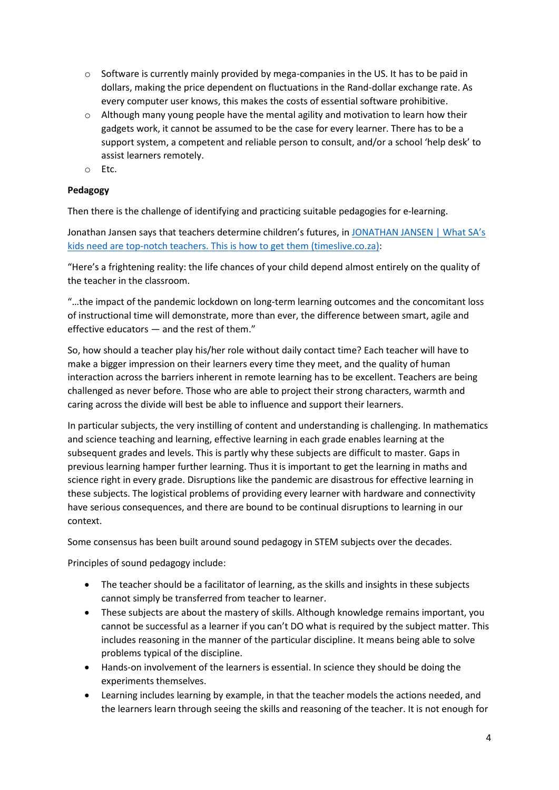- $\circ$  Software is currently mainly provided by mega-companies in the US. It has to be paid in dollars, making the price dependent on fluctuations in the Rand-dollar exchange rate. As every computer user knows, this makes the costs of essential software prohibitive.
- $\circ$  Although many young people have the mental agility and motivation to learn how their gadgets work, it cannot be assumed to be the case for every learner. There has to be a support system, a competent and reliable person to consult, and/or a school 'help desk' to assist learners remotely.
- o Etc.

# **Pedagogy**

Then there is the challenge of identifying and practicing suitable pedagogies for e-learning.

Jonathan Jansen says that teachers determine children's futures, in [JONATHAN JANSEN | What SA's](https://www.timeslive.co.za/sunday-times-daily/opinion-and-analysis/2021-02-10-jonathan-jansen--what-sas-kids-need-are-top-notch-teachers-this-is-how-to-get-them/)  [kids need are top-notch teachers. This is how to get them \(timeslive.co.za\):](https://www.timeslive.co.za/sunday-times-daily/opinion-and-analysis/2021-02-10-jonathan-jansen--what-sas-kids-need-are-top-notch-teachers-this-is-how-to-get-them/)

"Here's a frightening reality: the life chances of your child depend almost entirely on the quality of the teacher in the classroom.

"…the impact of the pandemic lockdown on long-term learning outcomes and the concomitant loss of instructional time will demonstrate, more than ever, the difference between smart, agile and effective educators — and the rest of them."

So, how should a teacher play his/her role without daily contact time? Each teacher will have to make a bigger impression on their learners every time they meet, and the quality of human interaction across the barriers inherent in remote learning has to be excellent. Teachers are being challenged as never before. Those who are able to project their strong characters, warmth and caring across the divide will best be able to influence and support their learners.

In particular subjects, the very instilling of content and understanding is challenging. In mathematics and science teaching and learning, effective learning in each grade enables learning at the subsequent grades and levels. This is partly why these subjects are difficult to master. Gaps in previous learning hamper further learning. Thus it is important to get the learning in maths and science right in every grade. Disruptions like the pandemic are disastrous for effective learning in these subjects. The logistical problems of providing every learner with hardware and connectivity have serious consequences, and there are bound to be continual disruptions to learning in our context.

Some consensus has been built around sound pedagogy in STEM subjects over the decades.

Principles of sound pedagogy include:

- The teacher should be a facilitator of learning, as the skills and insights in these subjects cannot simply be transferred from teacher to learner.
- These subjects are about the mastery of skills. Although knowledge remains important, you cannot be successful as a learner if you can't DO what is required by the subject matter. This includes reasoning in the manner of the particular discipline. It means being able to solve problems typical of the discipline.
- Hands-on involvement of the learners is essential. In science they should be doing the experiments themselves.
- Learning includes learning by example, in that the teacher models the actions needed, and the learners learn through seeing the skills and reasoning of the teacher. It is not enough for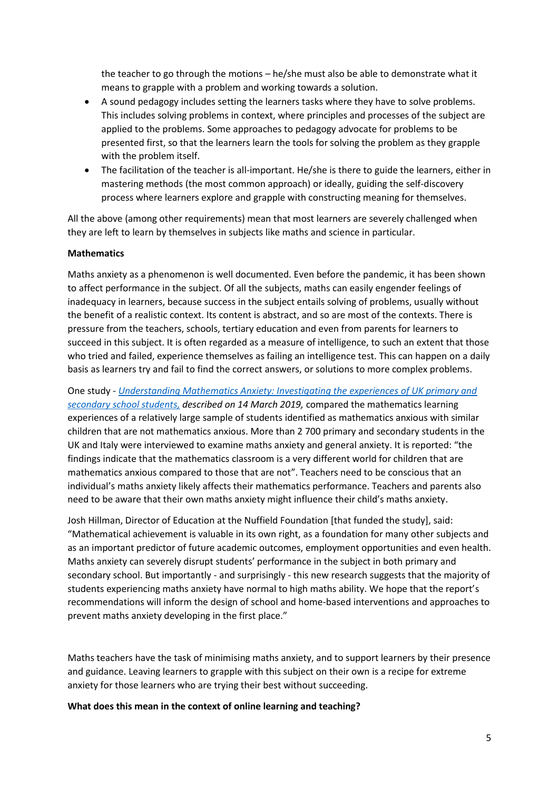the teacher to go through the motions – he/she must also be able to demonstrate what it means to grapple with a problem and working towards a solution.

- A sound pedagogy includes setting the learners tasks where they have to solve problems. This includes solving problems in context, where principles and processes of the subject are applied to the problems. Some approaches to pedagogy advocate for problems to be presented first, so that the learners learn the tools for solving the problem as they grapple with the problem itself.
- The facilitation of the teacher is all-important. He/she is there to guide the learners, either in mastering methods (the most common approach) or ideally, guiding the self-discovery process where learners explore and grapple with constructing meaning for themselves.

All the above (among other requirements) mean that most learners are severely challenged when they are left to learn by themselves in subjects like maths and science in particular.

## **Mathematics**

Maths anxiety as a phenomenon is well documented. Even before the pandemic, it has been shown to affect performance in the subject. Of all the subjects, maths can easily engender feelings of inadequacy in learners, because success in the subject entails solving of problems, usually without the benefit of a realistic context. Its content is abstract, and so are most of the contexts. There is pressure from the teachers, schools, tertiary education and even from parents for learners to succeed in this subject. It is often regarded as a measure of intelligence, to such an extent that those who tried and failed, experience themselves as failing an intelligence test. This can happen on a daily basis as learners try and fail to find the correct answers, or solutions to more complex problems.

One study - *[Understanding Mathematics Anxiety: Investigating the experiences of UK primary and](https://doi.org/10.17863/CAM.37744)  [secondary school students,](https://doi.org/10.17863/CAM.37744) described on 14 March 2019,* compared the mathematics learning experiences of a relatively large sample of students identified as mathematics anxious with similar children that are not mathematics anxious. More than 2 700 primary and secondary students in the UK and Italy were interviewed to examine maths anxiety and general anxiety. It is reported: "the findings indicate that the mathematics classroom is a very different world for children that are mathematics anxious compared to those that are not". Teachers need to be conscious that an individual's maths anxiety likely affects their mathematics performance. Teachers and parents also need to be aware that their own maths anxiety might influence their child's maths anxiety.

Josh Hillman, Director of Education at the Nuffield Foundation [that funded the study], said: "Mathematical achievement is valuable in its own right, as a foundation for many other subjects and as an important predictor of future academic outcomes, employment opportunities and even health. Maths anxiety can severely disrupt students' performance in the subject in both primary and secondary school. But importantly - and surprisingly - this new research suggests that the majority of students experiencing maths anxiety have normal to high maths ability. We hope that the report's recommendations will inform the design of school and home-based interventions and approaches to prevent maths anxiety developing in the first place."

Maths teachers have the task of minimising maths anxiety, and to support learners by their presence and guidance. Leaving learners to grapple with this subject on their own is a recipe for extreme anxiety for those learners who are trying their best without succeeding.

**What does this mean in the context of online learning and teaching?**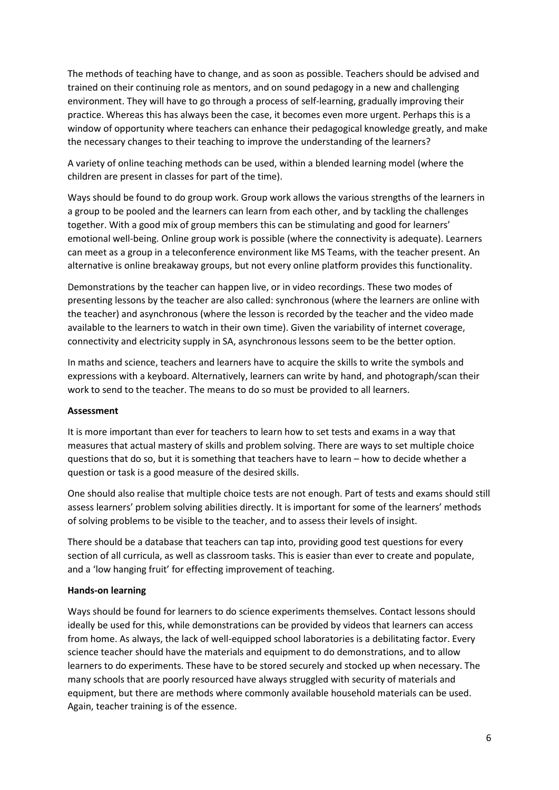The methods of teaching have to change, and as soon as possible. Teachers should be advised and trained on their continuing role as mentors, and on sound pedagogy in a new and challenging environment. They will have to go through a process of self-learning, gradually improving their practice. Whereas this has always been the case, it becomes even more urgent. Perhaps this is a window of opportunity where teachers can enhance their pedagogical knowledge greatly, and make the necessary changes to their teaching to improve the understanding of the learners?

A variety of online teaching methods can be used, within a blended learning model (where the children are present in classes for part of the time).

Ways should be found to do group work. Group work allows the various strengths of the learners in a group to be pooled and the learners can learn from each other, and by tackling the challenges together. With a good mix of group members this can be stimulating and good for learners' emotional well-being. Online group work is possible (where the connectivity is adequate). Learners can meet as a group in a teleconference environment like MS Teams, with the teacher present. An alternative is online breakaway groups, but not every online platform provides this functionality.

Demonstrations by the teacher can happen live, or in video recordings. These two modes of presenting lessons by the teacher are also called: synchronous (where the learners are online with the teacher) and asynchronous (where the lesson is recorded by the teacher and the video made available to the learners to watch in their own time). Given the variability of internet coverage, connectivity and electricity supply in SA, asynchronous lessons seem to be the better option.

In maths and science, teachers and learners have to acquire the skills to write the symbols and expressions with a keyboard. Alternatively, learners can write by hand, and photograph/scan their work to send to the teacher. The means to do so must be provided to all learners.

#### **Assessment**

It is more important than ever for teachers to learn how to set tests and exams in a way that measures that actual mastery of skills and problem solving. There are ways to set multiple choice questions that do so, but it is something that teachers have to learn – how to decide whether a question or task is a good measure of the desired skills.

One should also realise that multiple choice tests are not enough. Part of tests and exams should still assess learners' problem solving abilities directly. It is important for some of the learners' methods of solving problems to be visible to the teacher, and to assess their levels of insight.

There should be a database that teachers can tap into, providing good test questions for every section of all curricula, as well as classroom tasks. This is easier than ever to create and populate, and a 'low hanging fruit' for effecting improvement of teaching.

# **Hands-on learning**

Ways should be found for learners to do science experiments themselves. Contact lessons should ideally be used for this, while demonstrations can be provided by videos that learners can access from home. As always, the lack of well-equipped school laboratories is a debilitating factor. Every science teacher should have the materials and equipment to do demonstrations, and to allow learners to do experiments. These have to be stored securely and stocked up when necessary. The many schools that are poorly resourced have always struggled with security of materials and equipment, but there are methods where commonly available household materials can be used. Again, teacher training is of the essence.